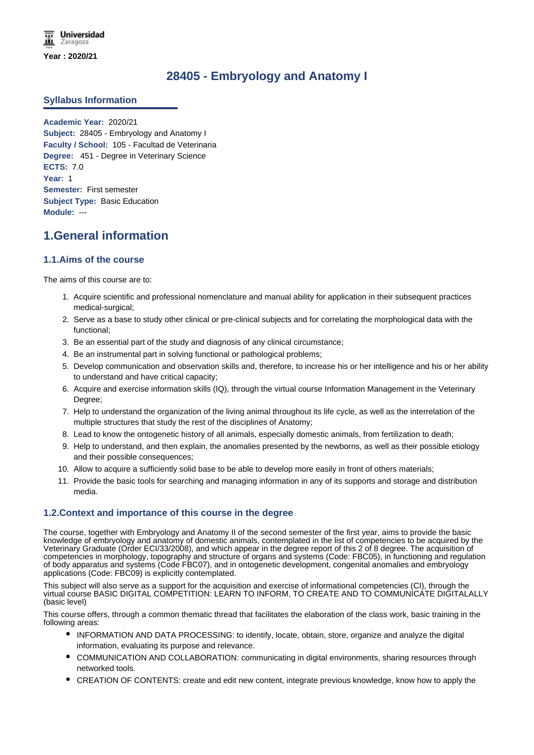# **28405 - Embryology and Anatomy I**

## **Syllabus Information**

**Academic Year:** 2020/21 **Subject:** 28405 - Embryology and Anatomy I **Faculty / School:** 105 - Facultad de Veterinaria **Degree:** 451 - Degree in Veterinary Science **ECTS:** 7.0 **Year:** 1 **Semester:** First semester **Subject Type:** Basic Education **Module:** ---

# **1.General information**

## **1.1.Aims of the course**

The aims of this course are to:

- 1. Acquire scientific and professional nomenclature and manual ability for application in their subsequent practices medical-surgical;
- 2. Serve as a base to study other clinical or pre-clinical subjects and for correlating the morphological data with the functional;
- 3. Be an essential part of the study and diagnosis of any clinical circumstance;
- 4. Be an instrumental part in solving functional or pathological problems;
- 5. Develop communication and observation skills and, therefore, to increase his or her intelligence and his or her ability to understand and have critical capacity;
- 6. Acquire and exercise information skills (IQ), through the virtual course Information Management in the Veterinary Degree;
- 7. Help to understand the organization of the living animal throughout its life cycle, as well as the interrelation of the multiple structures that study the rest of the disciplines of Anatomy;
- 8. Lead to know the ontogenetic history of all animals, especially domestic animals, from fertilization to death;
- 9. Help to understand, and then explain, the anomalies presented by the newborns, as well as their possible etiology and their possible consequences;
- 10. Allow to acquire a sufficiently solid base to be able to develop more easily in front of others materials;
- 11. Provide the basic tools for searching and managing information in any of its supports and storage and distribution media.

# **1.2.Context and importance of this course in the degree**

The course, together with Embryology and Anatomy II of the second semester of the first year, aims to provide the basic knowledge of embryology and anatomy of domestic animals, contemplated in the list of competencies to be acquired by the Veterinary Graduate (Order ECI/33/2008), and which appear in the degree report of this 2 of 8 degree. The acquisition of competencies in morphology, topography and structure of organs and systems (Code: FBC05), in functioning and regulation of body apparatus and systems (Code FBC07), and in ontogenetic development, congenital anomalies and embryology applications (Code: FBC09) is explicitly contemplated.

This subject will also serve as a support for the acquisition and exercise of informational competencies (CI), through the virtual course BASIC DIGITAL COMPETITION: LEARN TO INFORM, TO CREATE AND TO COMMUNICATE DIGITALALLY (basic level)

This course offers, through a common thematic thread that facilitates the elaboration of the class work, basic training in the following areas:

- INFORMATION AND DATA PROCESSING: to identify, locate, obtain, store, organize and analyze the digital information, evaluating its purpose and relevance.
- COMMUNICATION AND COLLABORATION: communicating in digital environments, sharing resources through networked tools.
- CREATION OF CONTENTS: create and edit new content, integrate previous knowledge, know how to apply the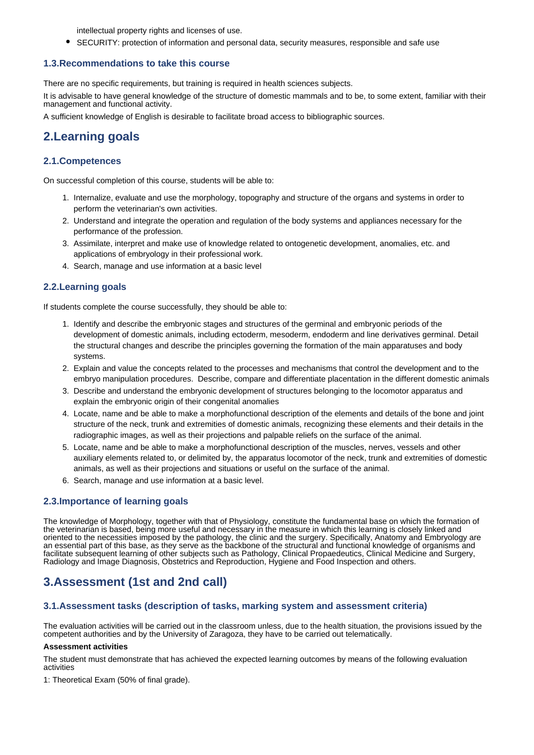intellectual property rights and licenses of use.

• SECURITY: protection of information and personal data, security measures, responsible and safe use

### **1.3.Recommendations to take this course**

There are no specific requirements, but training is required in health sciences subjects.

It is advisable to have general knowledge of the structure of domestic mammals and to be, to some extent, familiar with their management and functional activity.

A sufficient knowledge of English is desirable to facilitate broad access to bibliographic sources.

# **2.Learning goals**

## **2.1.Competences**

On successful completion of this course, students will be able to:

- 1. Internalize, evaluate and use the morphology, topography and structure of the organs and systems in order to perform the veterinarian's own activities.
- 2. Understand and integrate the operation and regulation of the body systems and appliances necessary for the performance of the profession.
- 3. Assimilate, interpret and make use of knowledge related to ontogenetic development, anomalies, etc. and applications of embryology in their professional work.
- 4. Search, manage and use information at a basic level

## **2.2.Learning goals**

If students complete the course successfully, they should be able to:

- 1. Identify and describe the embryonic stages and structures of the germinal and embryonic periods of the development of domestic animals, including ectoderm, mesoderm, endoderm and line derivatives germinal. Detail the structural changes and describe the principles governing the formation of the main apparatuses and body systems.
- 2. Explain and value the concepts related to the processes and mechanisms that control the development and to the embryo manipulation procedures. Describe, compare and differentiate placentation in the different domestic animals
- 3. Describe and understand the embryonic development of structures belonging to the locomotor apparatus and explain the embryonic origin of their congenital anomalies
- 4. Locate, name and be able to make a morphofunctional description of the elements and details of the bone and joint structure of the neck, trunk and extremities of domestic animals, recognizing these elements and their details in the radiographic images, as well as their projections and palpable reliefs on the surface of the animal.
- 5. Locate, name and be able to make a morphofunctional description of the muscles, nerves, vessels and other auxiliary elements related to, or delimited by, the apparatus locomotor of the neck, trunk and extremities of domestic animals, as well as their projections and situations or useful on the surface of the animal.
- 6. Search, manage and use information at a basic level.

### **2.3.Importance of learning goals**

The knowledge of Morphology, together with that of Physiology, constitute the fundamental base on which the formation of the veterinarian is based, being more useful and necessary in the measure in which this learning is closely linked and oriented to the necessities imposed by the pathology, the clinic and the surgery. Specifically, Anatomy and Embryology are an essential part of this base, as they serve as the backbone of the structural and functional knowledge of organisms and facilitate subsequent learning of other subjects such as Pathology, Clinical Propaedeutics, Clinical Medicine and Surgery, Radiology and Image Diagnosis, Obstetrics and Reproduction, Hygiene and Food Inspection and others.

# **3.Assessment (1st and 2nd call)**

## **3.1.Assessment tasks (description of tasks, marking system and assessment criteria)**

The evaluation activities will be carried out in the classroom unless, due to the health situation, the provisions issued by the competent authorities and by the University of Zaragoza, they have to be carried out telematically.

#### **Assessment activities**

The student must demonstrate that has achieved the expected learning outcomes by means of the following evaluation activities

1: Theoretical Exam (50% of final grade).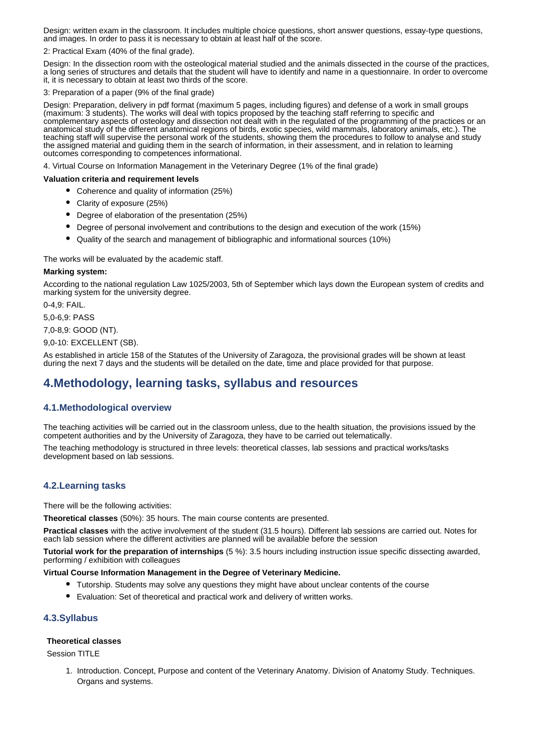Design: written exam in the classroom. It includes multiple choice questions, short answer questions, essay-type questions, and images. In order to pass it is necessary to obtain at least half of the score.

#### 2: Practical Exam (40% of the final grade).

Design: In the dissection room with the osteological material studied and the animals dissected in the course of the practices, a long series of structures and details that the student will have to identify and name in a questionnaire. In order to overcome it, it is necessary to obtain at least two thirds of the score.

#### 3: Preparation of a paper (9% of the final grade)

Design: Preparation, delivery in pdf format (maximum 5 pages, including figures) and defense of a work in small groups (maximum: 3 students). The works will deal with topics proposed by the teaching staff referring to specific and complementary aspects of osteology and dissection not dealt with in the regulated of the programming of the practices or an anatomical study of the different anatomical regions of birds, exotic species, wild mammals, laboratory animals, etc.). The teaching staff will supervise the personal work of the students, showing them the procedures to follow to analyse and study the assigned material and guiding them in the search of information, in their assessment, and in relation to learning outcomes corresponding to competences informational.

4. Virtual Course on Information Management in the Veterinary Degree (1% of the final grade)

#### **Valuation criteria and requirement levels**

- Coherence and quality of information (25%)
- Clarity of exposure (25%)
- Degree of elaboration of the presentation (25%)
- Degree of personal involvement and contributions to the design and execution of the work (15%)
- Quality of the search and management of bibliographic and informational sources (10%)

The works will be evaluated by the academic staff.

#### **Marking system:**

According to the national regulation Law 1025/2003, 5th of September which lays down the European system of credits and marking system for the university degree.

0-4,9: FAIL.

5,0-6,9: PASS

7,0-8,9: GOOD (NT).

9,0-10: EXCELLENT (SB).

As established in article 158 of the Statutes of the University of Zaragoza, the provisional grades will be shown at least during the next 7 days and the students will be detailed on the date, time and place provided for that purpose.

# **4.Methodology, learning tasks, syllabus and resources**

### **4.1.Methodological overview**

The teaching activities will be carried out in the classroom unless, due to the health situation, the provisions issued by the competent authorities and by the University of Zaragoza, they have to be carried out telematically.

The teaching methodology is structured in three levels: theoretical classes, lab sessions and practical works/tasks development based on lab sessions.

# **4.2.Learning tasks**

There will be the following activities:

**Theoretical classes** (50%): 35 hours. The main course contents are presented.

**Practical classes** with the active involvement of the student (31.5 hours). Different lab sessions are carried out. Notes for each lab session where the different activities are planned will be available before the session

**Tutorial work for the preparation of internships** (5 %): 3.5 hours including instruction issue specific dissecting awarded, performing / exhibition with colleagues

#### **Virtual Course Information Management in the Degree of Veterinary Medicine.**

- Tutorship. Students may solve any questions they might have about unclear contents of the course
- Evaluation: Set of theoretical and practical work and delivery of written works.

# **4.3.Syllabus**

#### **Theoretical classes**

Session TITLE

1. Introduction. Concept, Purpose and content of the Veterinary Anatomy. Division of Anatomy Study. Techniques. Organs and systems.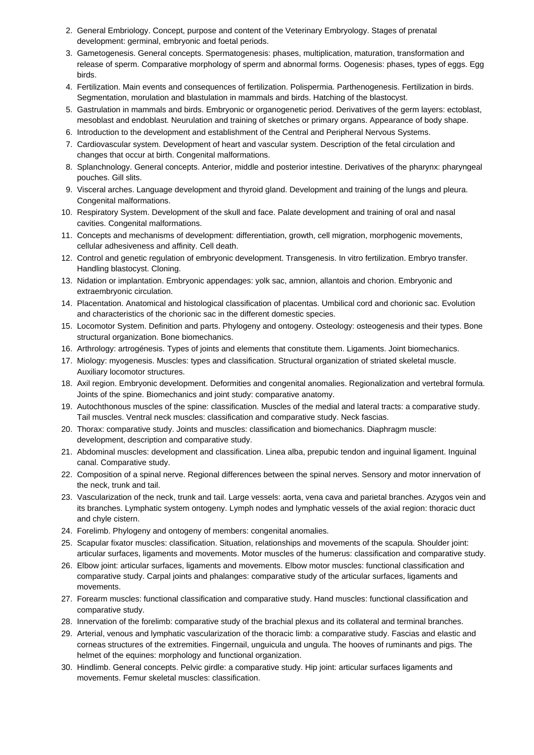- 2. General Embriology. Concept, purpose and content of the Veterinary Embryology. Stages of prenatal development: germinal, embryonic and foetal periods.
- 3. Gametogenesis. General concepts. Spermatogenesis: phases, multiplication, maturation, transformation and release of sperm. Comparative morphology of sperm and abnormal forms. Oogenesis: phases, types of eggs. Egg birds.
- 4. Fertilization. Main events and consequences of fertilization. Polispermia. Parthenogenesis. Fertilization in birds. Segmentation, morulation and blastulation in mammals and birds. Hatching of the blastocyst.
- 5. Gastrulation in mammals and birds. Embryonic or organogenetic period. Derivatives of the germ layers: ectoblast, mesoblast and endoblast. Neurulation and training of sketches or primary organs. Appearance of body shape.
- 6. Introduction to the development and establishment of the Central and Peripheral Nervous Systems.
- 7. Cardiovascular system. Development of heart and vascular system. Description of the fetal circulation and changes that occur at birth. Congenital malformations.
- 8. Splanchnology. General concepts. Anterior, middle and posterior intestine. Derivatives of the pharynx: pharyngeal pouches. Gill slits.
- 9. Visceral arches. Language development and thyroid gland. Development and training of the lungs and pleura. Congenital malformations.
- 10. Respiratory System. Development of the skull and face. Palate development and training of oral and nasal cavities. Congenital malformations.
- 11. Concepts and mechanisms of development: differentiation, growth, cell migration, morphogenic movements, cellular adhesiveness and affinity. Cell death.
- 12. Control and genetic regulation of embryonic development. Transgenesis. In vitro fertilization. Embryo transfer. Handling blastocyst. Cloning.
- 13. Nidation or implantation. Embryonic appendages: yolk sac, amnion, allantois and chorion. Embryonic and extraembryonic circulation.
- 14. Placentation. Anatomical and histological classification of placentas. Umbilical cord and chorionic sac. Evolution and characteristics of the chorionic sac in the different domestic species.
- 15. Locomotor System. Definition and parts. Phylogeny and ontogeny. Osteology: osteogenesis and their types. Bone structural organization. Bone biomechanics.
- 16. Arthrology: artrogénesis. Types of joints and elements that constitute them. Ligaments. Joint biomechanics.
- 17. Miology: myogenesis. Muscles: types and classification. Structural organization of striated skeletal muscle. Auxiliary locomotor structures.
- 18. Axil region. Embryonic development. Deformities and congenital anomalies. Regionalization and vertebral formula. Joints of the spine. Biomechanics and joint study: comparative anatomy.
- 19. Autochthonous muscles of the spine: classification. Muscles of the medial and lateral tracts: a comparative study. Tail muscles. Ventral neck muscles: classification and comparative study. Neck fascias.
- 20. Thorax: comparative study. Joints and muscles: classification and biomechanics. Diaphragm muscle: development, description and comparative study.
- 21. Abdominal muscles: development and classification. Linea alba, prepubic tendon and inguinal ligament. Inguinal canal. Comparative study.
- 22. Composition of a spinal nerve. Regional differences between the spinal nerves. Sensory and motor innervation of the neck, trunk and tail.
- 23. Vascularization of the neck, trunk and tail. Large vessels: aorta, vena cava and parietal branches. Azygos vein and its branches. Lymphatic system ontogeny. Lymph nodes and lymphatic vessels of the axial region: thoracic duct and chyle cistern.
- 24. Forelimb. Phylogeny and ontogeny of members: congenital anomalies.
- 25. Scapular fixator muscles: classification. Situation, relationships and movements of the scapula. Shoulder joint: articular surfaces, ligaments and movements. Motor muscles of the humerus: classification and comparative study.
- 26. Elbow joint: articular surfaces, ligaments and movements. Elbow motor muscles: functional classification and comparative study. Carpal joints and phalanges: comparative study of the articular surfaces, ligaments and movements.
- 27. Forearm muscles: functional classification and comparative study. Hand muscles: functional classification and comparative study.
- 28. Innervation of the forelimb: comparative study of the brachial plexus and its collateral and terminal branches.
- 29. Arterial, venous and lymphatic vascularization of the thoracic limb: a comparative study. Fascias and elastic and corneas structures of the extremities. Fingernail, unguicula and ungula. The hooves of ruminants and pigs. The helmet of the equines: morphology and functional organization.
- 30. Hindlimb. General concepts. Pelvic girdle: a comparative study. Hip joint: articular surfaces ligaments and movements. Femur skeletal muscles: classification.